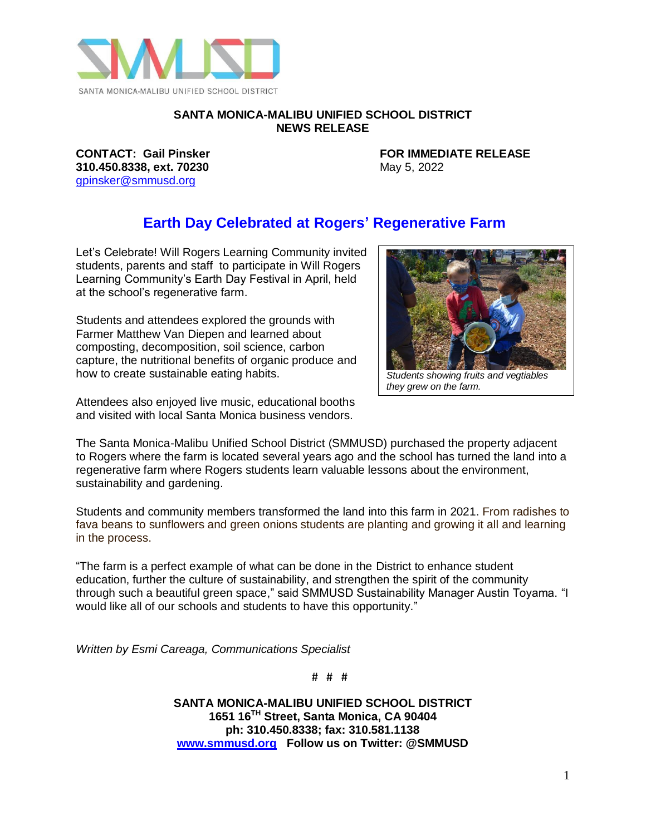

## **SANTA MONICA-MALIBU UNIFIED SCHOOL DISTRICT NEWS RELEASE**

**310.450.8338, ext. 70230** May 5, 2022 [gpinsker@smmusd.org](mailto:gpinsker@smmusd.org)

**CONTACT: Gail Pinsker FOR IMMEDIATE RELEASE**

## **Earth Day Celebrated at Rogers' Regenerative Farm**

Let's Celebrate! Will Rogers Learning Community invited students, parents and staff to participate in Will Rogers Learning Community's Earth Day Festival in April, held at the school's regenerative farm.

Students and attendees explored the grounds with Farmer Matthew Van Diepen and learned about composting, decomposition, soil science, carbon capture, the nutritional benefits of organic produce and how to create sustainable eating habits.

Attendees also enjoyed live music, educational booths and visited with local Santa Monica business vendors.



*they grew on the farm.* 

The Santa Monica-Malibu Unified School District (SMMUSD) purchased the property adjacent to Rogers where the farm is located several years ago and the school has turned the land into a regenerative farm where Rogers students learn valuable lessons about the environment, sustainability and gardening.

Students and community members transformed the land into this farm in 2021. From radishes to fava beans to sunflowers and green onions students are planting and growing it all and learning in the process.

"The farm is a perfect example of what can be done in the District to enhance student education, further the culture of sustainability, and strengthen the spirit of the community through such a beautiful green space," said SMMUSD Sustainability Manager Austin Toyama. "I would like all of our schools and students to have this opportunity."

*Written by Esmi Careaga, Communications Specialist*

# # #

**SANTA MONICA-MALIBU UNIFIED SCHOOL DISTRICT 1651 16TH Street, Santa Monica, CA 90404 ph: 310.450.8338; fax: 310.581.1138 [www.smmusd.org](http://www.smmusd.org/) Follow us on Twitter: @SMMUSD**